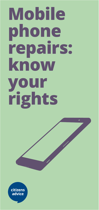# **Mobile phone repairs: know your rights**

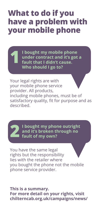## **What to do if you have a problem with your mobile phone**

**I bought my mobile phone under contract and it's got a fault that I didn't cause. Who should I go to?**

Your legal rights are with your mobile phone service provider. All products, including mobile phones, must be of satisfactory quality, fit for purpose and as described.



**1**

**I bought my phone outright and it's broken through no fault of my own?**

You have the same legal rights but the responsibility lies with the retailer where you bought the phone not the mobile phone service provider.

**This is a summary. For more detail on your rights, visit [chilterncab.org.uk/campaigns/news/](http://chilterncab.org.uk/campaigns/news/)**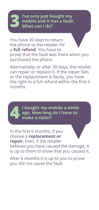#### **I've only just bought my mobile and it has a fault. What can I do? 3**

You have 30 days to return the phone to the retailer for a **full refund**. You have to prove that the fault was there when you purchased the phone.

Alternatively, or after 30 days, the retailer can repair or replace it. If the repair fails or the replacement is faulty, you have the right to a full refund within the first 6 months.

> **I bought my mobile a while ago. How long do I have to make a claim?**

**4**

In the first 6 months, if you choose a **replacement or repair**, then, if the retailer believes you have caused the damage, it is up to them to show that you caused it.

After 6 months it is up to you to prove you did not cause the fault.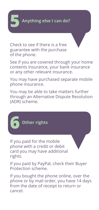Check to see if there is a free guarantee with the purchase of the phone.

**5**

See if you are covered through your home contents insurance, your bank insurance or any other relevant insurance.

You may have purchased separate mobile phone insurance.

You may be able to take matters further through an Alternative Dispute Resolution (ADR) scheme.



phone with a credit or debit card you may have additional rights.

If you paid by PayPal, check their Buyer Protection scheme.

If you bought the phone online, over the phone or by mail order, you have 14 days from the date of receipt to return or cancel.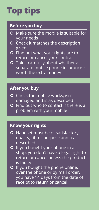# **Top tips**

#### **Before you buy**

- **O** Make sure the mobile is suitable for your needs
- O Check it matches the description given
- **O** Find out what your rights are to return or cancel your contract
- **O** Think carefully about whether a separate mobile phone insurance is worth the extra money

#### **After you buy**

- **O** Check the mobile works, isn't damaged and is as described
- **O** Find out who to contact if there is a problem with your mobile

#### **Know your rights**

- **O** Handset must be of satisfactory quality, fit for purpose and as described
- O If you bought your phone in a shop, you don't have a legal right to return or cancel unless the product is faulty
- O If you bought the phone online, over the phone or by mail order, you have 14 days from the date of receipt to return or cancel